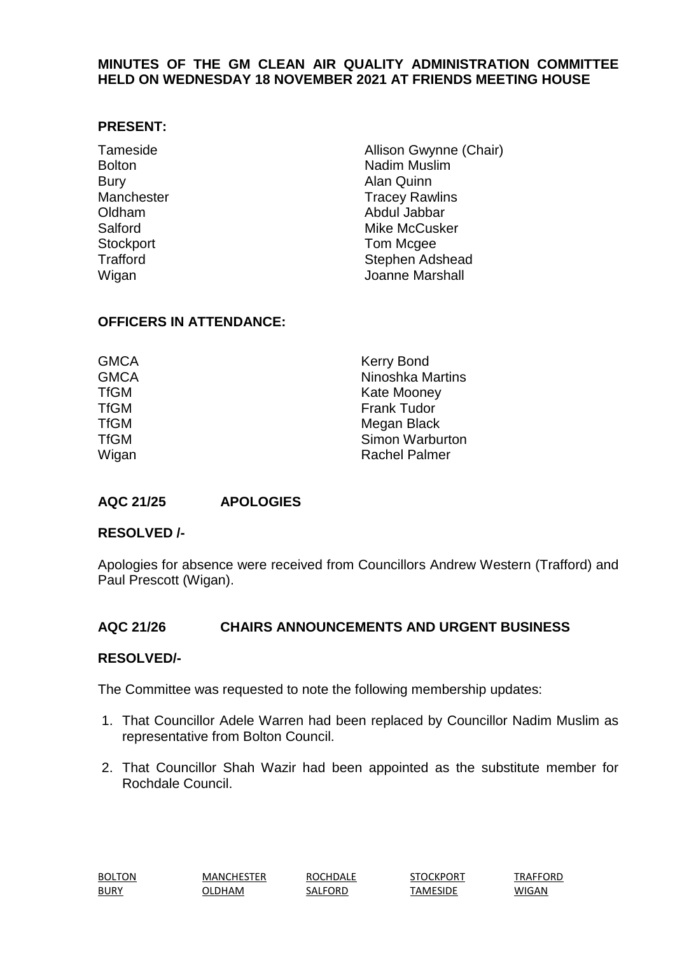# **MINUTES OF THE GM CLEAN AIR QUALITY ADMINISTRATION COMMITTEE HELD ON WEDNESDAY 18 NOVEMBER 2021 AT FRIENDS MEETING HOUSE**

#### **PRESENT:**

| Tameside        | Allison Gwynne (Chair) |
|-----------------|------------------------|
| <b>Bolton</b>   | <b>Nadim Muslim</b>    |
| <b>Bury</b>     | <b>Alan Quinn</b>      |
| Manchester      | <b>Tracey Rawlins</b>  |
| Oldham          | Abdul Jabbar           |
| Salford         | <b>Mike McCusker</b>   |
| Stockport       | Tom Mcgee              |
| <b>Trafford</b> | Stephen Adshead        |
| Wigan           | Joanne Marshall        |

# **OFFICERS IN ATTENDANCE:**

| GMCA<br><b>GMCA</b> | <b>Kerry Bond</b><br><b>Ninoshka Martins</b> |
|---------------------|----------------------------------------------|
| TfGM                | <b>Kate Mooney</b>                           |
| TfGM                | <b>Frank Tudor</b>                           |
| TfGM                | Megan Black                                  |
| TfGM                | Simon Warburton                              |
| Wigan               | <b>Rachel Palmer</b>                         |

# **AQC 21/25 APOLOGIES**

# **RESOLVED /-**

Apologies for absence were received from Councillors Andrew Western (Trafford) and Paul Prescott (Wigan).

# **AQC 21/26 CHAIRS ANNOUNCEMENTS AND URGENT BUSINESS**

#### **RESOLVED/-**

The Committee was requested to note the following membership updates:

- 1. That Councillor Adele Warren had been replaced by Councillor Nadim Muslim as representative from Bolton Council.
- 2. That Councillor Shah Wazir had been appointed as the substitute member for Rochdale Council.

| <b>BOLTON</b>                                            | <b>MANCHESTER</b> | <b>ROCHDALE</b> | STOCKPORT | TRAFFORD |
|----------------------------------------------------------|-------------------|-----------------|-----------|----------|
| <b>BURY</b><br>$\sim$ $\sim$ $\sim$ $\sim$ $\sim$ $\sim$ | <b>DLDHAM</b>     | SALFORD         | TAMESIDE  | WIGAN    |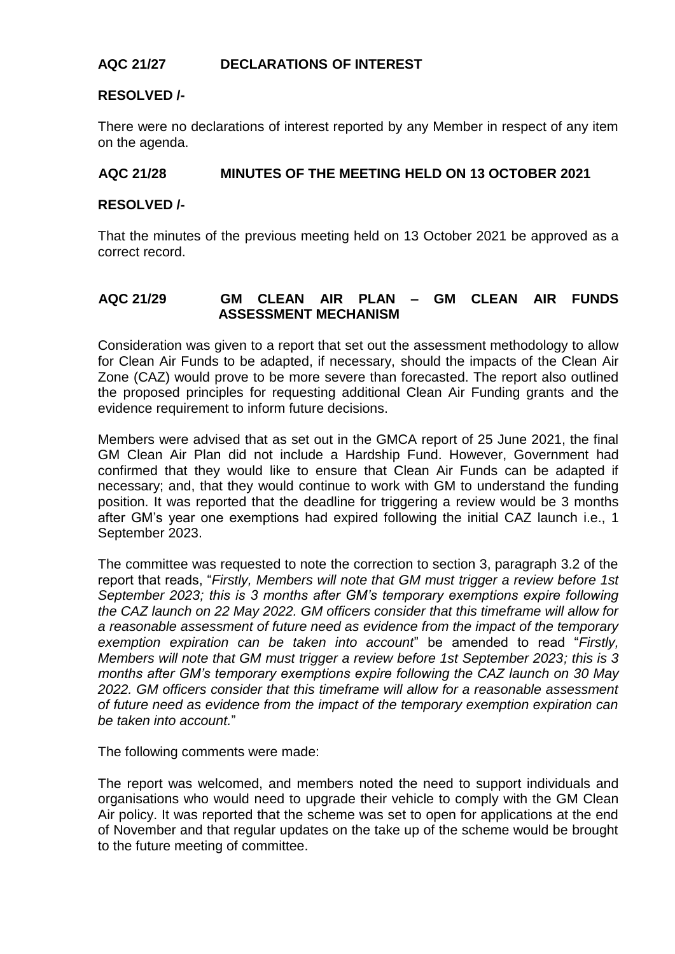# **AQC 21/27 DECLARATIONS OF INTEREST**

# **RESOLVED /-**

There were no declarations of interest reported by any Member in respect of any item on the agenda.

# **AQC 21/28 MINUTES OF THE MEETING HELD ON 13 OCTOBER 2021**

#### **RESOLVED /-**

That the minutes of the previous meeting held on 13 October 2021 be approved as a correct record.

# **AQC 21/29 GM CLEAN AIR PLAN – GM CLEAN AIR FUNDS ASSESSMENT MECHANISM**

Consideration was given to a report that set out the assessment methodology to allow for Clean Air Funds to be adapted, if necessary, should the impacts of the Clean Air Zone (CAZ) would prove to be more severe than forecasted. The report also outlined the proposed principles for requesting additional Clean Air Funding grants and the evidence requirement to inform future decisions.

Members were advised that as set out in the GMCA report of 25 June 2021, the final GM Clean Air Plan did not include a Hardship Fund. However, Government had confirmed that they would like to ensure that Clean Air Funds can be adapted if necessary; and, that they would continue to work with GM to understand the funding position. It was reported that the deadline for triggering a review would be 3 months after GM's year one exemptions had expired following the initial CAZ launch i.e., 1 September 2023.

The committee was requested to note the correction to section 3, paragraph 3.2 of the report that reads, "*Firstly, Members will note that GM must trigger a review before 1st September 2023; this is 3 months after GM's temporary exemptions expire following the CAZ launch on 22 May 2022. GM officers consider that this timeframe will allow for a reasonable assessment of future need as evidence from the impact of the temporary exemption expiration can be taken into account*" be amended to read "*Firstly, Members will note that GM must trigger a review before 1st September 2023; this is 3 months after GM's temporary exemptions expire following the CAZ launch on 30 May 2022. GM officers consider that this timeframe will allow for a reasonable assessment of future need as evidence from the impact of the temporary exemption expiration can be taken into account.*"

The following comments were made:

The report was welcomed, and members noted the need to support individuals and organisations who would need to upgrade their vehicle to comply with the GM Clean Air policy. It was reported that the scheme was set to open for applications at the end of November and that regular updates on the take up of the scheme would be brought to the future meeting of committee.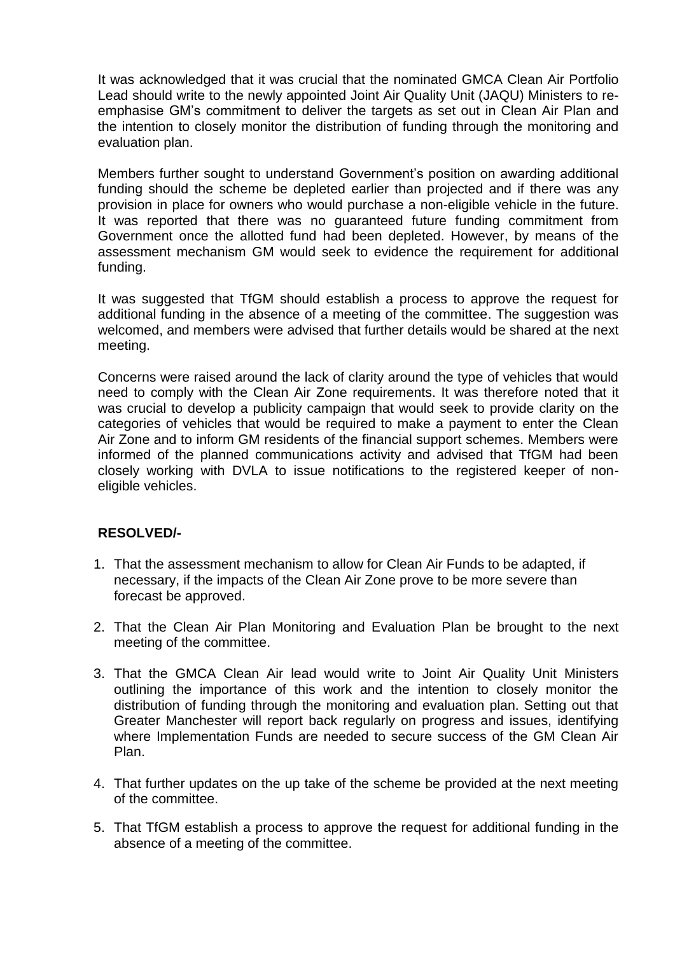It was acknowledged that it was crucial that the nominated GMCA Clean Air Portfolio Lead should write to the newly appointed Joint Air Quality Unit (JAQU) Ministers to reemphasise GM's commitment to deliver the targets as set out in Clean Air Plan and the intention to closely monitor the distribution of funding through the monitoring and evaluation plan.

Members further sought to understand Government's position on awarding additional funding should the scheme be depleted earlier than projected and if there was any provision in place for owners who would purchase a non-eligible vehicle in the future. It was reported that there was no guaranteed future funding commitment from Government once the allotted fund had been depleted. However, by means of the assessment mechanism GM would seek to evidence the requirement for additional funding.

It was suggested that TfGM should establish a process to approve the request for additional funding in the absence of a meeting of the committee. The suggestion was welcomed, and members were advised that further details would be shared at the next meeting.

Concerns were raised around the lack of clarity around the type of vehicles that would need to comply with the Clean Air Zone requirements. It was therefore noted that it was crucial to develop a publicity campaign that would seek to provide clarity on the categories of vehicles that would be required to make a payment to enter the Clean Air Zone and to inform GM residents of the financial support schemes. Members were informed of the planned communications activity and advised that TfGM had been closely working with DVLA to issue notifications to the registered keeper of noneligible vehicles.

# **RESOLVED/-**

- 1. That the assessment mechanism to allow for Clean Air Funds to be adapted, if necessary, if the impacts of the Clean Air Zone prove to be more severe than forecast be approved.
- 2. That the Clean Air Plan Monitoring and Evaluation Plan be brought to the next meeting of the committee.
- 3. That the GMCA Clean Air lead would write to Joint Air Quality Unit Ministers outlining the importance of this work and the intention to closely monitor the distribution of funding through the monitoring and evaluation plan. Setting out that Greater Manchester will report back regularly on progress and issues, identifying where Implementation Funds are needed to secure success of the GM Clean Air Plan.
- 4. That further updates on the up take of the scheme be provided at the next meeting of the committee.
- 5. That TfGM establish a process to approve the request for additional funding in the absence of a meeting of the committee.